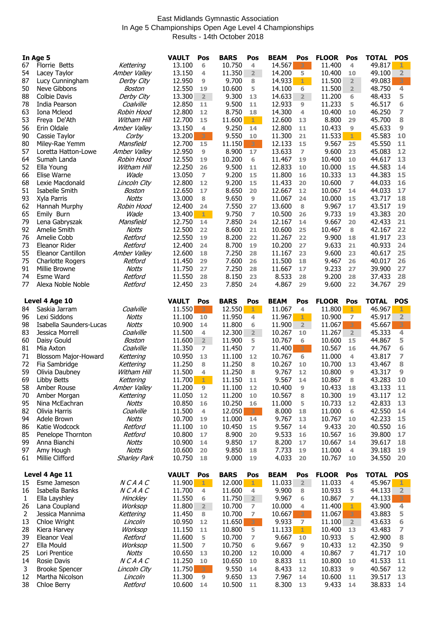## East Midlands Gymnastic Association In Age 5 Championships Open Age Level 4 Championships Results - 14th October 2018

| In Age 5     |                                    |                            | <b>VAULT</b><br>Pos         | <b>BARS</b><br>Pos                | <b>BEAM</b><br>Pos                       | <b>FLOOR</b><br>Pos           | <b>TOTAL</b><br><b>POS</b>   |
|--------------|------------------------------------|----------------------------|-----------------------------|-----------------------------------|------------------------------------------|-------------------------------|------------------------------|
| 67           | <b>Florrie Betts</b>               | Kettering                  | 13.100<br>6                 | 10.750<br>4                       | 14.567                                   | 11.400<br>4                   | 49.817                       |
| 54           | Lacey Taylor                       | Amber Valley               | 13.150<br>4                 | 11.350<br>$\overline{2}$          | 14.200<br>5                              | 10.400<br>10                  | 49.100<br>$\overline{2}$     |
| 87           | Lucy Cunningham                    | Derby City                 | 12.950<br>9                 | 9.700<br>8                        | 14.933<br>$1 -$                          | 11.500<br>$\overline{2}$      | 3<br>49.083                  |
| 50           | Neve Gibbons                       | Boston                     | 12.550<br>19                | 10.600<br>5                       | 14.100<br>6                              | 11.500<br>$\overline{2}$      | 4<br>48.750                  |
| 88           | <b>Colbie Davis</b>                | Derby City                 | 13.300<br>2                 | 9.300<br>13                       | 14.633<br>$\overline{2}$                 | 11.200<br>6                   | 48.433<br>5                  |
| 78           | India Pearson                      | Coalville                  | 12.850<br>11                | 9.500<br>11                       | 12.933<br>9                              | 11.233<br>5                   | 46.517<br>6                  |
| 63           | Iona Mcleod                        | Robin Hood                 | 12.800<br>12                | 8.750<br>18                       | 14.300<br>4                              | 10.400<br>10                  | 46.250<br>7                  |
| 53           | Freya De'Ath                       | Witham Hill                | 12.700<br>15                | 11.600<br>$1 -$                   | 12.600<br>13                             | 8.800<br>29                   | 8<br>45.700                  |
| 56           | Erin Oldale                        | Amber Valley               | 13.150<br>4                 | 9.250<br>14                       | 12.800<br>11                             | 10.433<br>9                   | 45.633<br>9                  |
| 90           | Cassie Taylor                      | Corby                      | 13.200<br>3                 | 9.550<br>10                       | 11.300<br>21                             | 11.533<br>1                   | 45.583<br>10                 |
| 80           | Miley-Rae Yemm                     | Mansfield                  | 12.700<br>15                | 11.150<br>3                       | 12.133<br>15                             | 9.567<br>25                   | 45.550<br>11                 |
| 57<br>64     | Loretta Hatton-Lowe<br>Sumah Landa | Amber Valley<br>Robin Hood | 12.950<br>9<br>12.550<br>19 | 8.900<br>17<br>10.200<br>6        | 13.633<br>$\overline{7}$<br>11.467<br>19 | 9.600<br>23<br>10.400<br>10   | 45.083<br>12<br>44.617<br>13 |
| 52           | Ella Young                         | Witham Hill                | 12.250<br>26                | 9.500<br>11                       | 12.833<br>10                             | 10.000<br>15                  | 44.583<br>14                 |
| 66           | Elise Warne                        | Wade                       | 13.050<br>$\overline{ }$    | 9.200<br>15                       | 11.800<br>16                             | 10.333<br>13                  | 44.383<br>15                 |
| 68           | Lexie Macdonald                    | Lincoln City               | 12.800<br>12                | 9.200<br>15                       | 11.433<br>20                             | 10.600<br>7                   | 44.033<br>16                 |
| 51           | Isabelle Smith                     | Boston                     | 12.650<br>17                | 8.650<br>20                       | 12.667<br>12                             | 10.067<br>14                  | 44.033<br>17                 |
| 93           | Xyla Parris                        | <b>Notts</b>               | 13.000<br>8                 | 9.650<br>9                        | 11.067<br>24                             | 10.000<br>15                  | 43.717<br>18                 |
| 62           | Hannah Murphy                      | Robin Hood                 | 12.400<br>24                | 7.550<br>27                       | 13.600<br>8                              | 9.967<br>17                   | 43.517<br>19                 |
| 65           | Emily Burn                         | Wade                       | 13.400<br>$1 -$             | 9.750<br>7                        | 10.500<br>26                             | 9.733<br>19                   | 43.383<br>20                 |
| 79           | Lena Gabryszak                     | Mansfield                  | 12.750<br>14                | 7.850<br>24                       | 12.167<br>14                             | 9.667<br>20                   | 21<br>42.433                 |
| 92           | Amelie Smith                       | <b>Notts</b>               | 12.500<br>22                | 8.600<br>21                       | 10.600<br>25                             | 10.467<br>8                   | 22<br>42.167                 |
| 76           | Amelie Cobb                        | Retford                    | 12.550<br>19                | 8.200<br>22                       | 11.267<br>22                             | 9.900<br>18                   | 41.917<br>23                 |
| 73           | Eleanor Rider                      | Retford                    | 12.400<br>24                | 8.700<br>19                       | 10.200<br>27                             | 9.633<br>21                   | 40.933<br>24                 |
| 55           | Eleanor Cantillon                  | Amber Valley               | 12.600<br>18                | 7.250<br>28                       | 11.167<br>23                             | 9.600<br>23                   | 25<br>40.617                 |
| 75           | <b>Charlotte Rogers</b>            | Retford                    | 29<br>11.450                | 7.600<br>26                       | 11.500<br>18                             | 9.467<br>26                   | 40.017<br>26                 |
| 91           | Millie Browne                      | <b>Notts</b>               | 11.750<br>27                | 7.250<br>28                       | 11.667<br>17                             | 9.233<br>27                   | 39.900<br>27                 |
| 74           | <b>Esme Ward</b>                   | Retford                    | 11.550<br>28                | 8.150<br>23                       | 8.533<br>28                              | 9.200<br>28                   | 28<br>37.433                 |
| 77           | Alexa Noble Noble                  | Retford                    | 12.450<br>23                | 7.850<br>24                       | 4.867<br>29                              | 9.600<br>22                   | 29<br>34.767                 |
|              | Level 4 Age 10                     |                            | <b>VAULT</b><br>Pos         | <b>BARS</b><br>Pos                | <b>BEAM</b><br>Pos                       | <b>FLOOR</b><br>Pos           | <b>TOTAL</b><br><b>POS</b>   |
| 84           | Saskia Jarram                      | Coalville                  | 11.550<br>3.                | 12.550<br>$1 -$                   | 11.067<br>4                              | 11.800<br>1                   | 46.967<br>1                  |
| 96           | Lexi Siddons                       | <b>Notts</b>               | 11.100<br>10                | 11.950<br>4                       | 11.967<br>1.                             | 10.900<br>7                   | 45.917<br>$\overline{2}$     |
| 98           | Isabella Saunders-Lucas            | <b>Notts</b>               | 10.900<br>14                | 11.800<br>6                       | 11.900<br>$\overline{2}$                 | 11.067<br>3                   | 3<br>45.667                  |
|              |                                    |                            |                             |                                   |                                          |                               |                              |
| 83           | Jessica Morrell                    | Coalville                  | 11.500<br>4                 | 12.300<br>$\overline{\mathbf{2}}$ | 10.267<br>10                             | 11.267<br>$\overline{2}$      | 4<br>45.333                  |
| 60           | Daisy Gould                        | Boston                     | 11.600<br>$2^{\circ}$       | 11.900<br>5                       | 10.767<br>6                              | 10.600<br>15                  | 44.867<br>5                  |
| 81           | Mia Axton                          | Coalville                  | 11.350<br>7                 | 11.450<br>7                       | 11.400<br>$3 -$                          | 10.567<br>16                  | 6<br>44.767                  |
| 71           | Blossom Major-Howard               | Kettering                  | 10.950<br>13                | 11.100<br>12                      | 10.767<br>6                              | 11.000<br>4                   | 43.817<br>7                  |
| 72           | Fia Sambridge                      | Kettering                  | 11.250<br>8                 | 11.250<br>8                       | 10.267<br>10                             | 10.700<br>13                  | 43.467<br>8                  |
| 59           | Olivia Daubney                     | Witham Hill                | 11.500<br>4                 | 11.250<br>8                       | 9.767<br>12                              | 10.800<br>9                   | 9<br>43.317                  |
| 69           | Libby Betts                        | Kettering                  | $11.700$ 1                  | 11.150<br>$11$                    | 9.567<br>14                              | 10.867<br>$\bf8$              | 43.283<br>10                 |
| 58           | Amber Rouse                        | Amber Valley               | 11.200<br>9                 | 11.100<br>12                      | 10.400<br>9                              | 10.433<br>18                  | 43.133<br>11                 |
| 70           | Amber Morgan                       | Kettering                  | 11.050<br>12                | 11.200<br>10                      | 10.567<br>8                              | 10.300<br>19                  | 43.117<br>12                 |
| 95           | Nina McEachran                     | <b>Notts</b>               | 10.850<br>16                | 10.250<br>16                      | 11.000<br>5                              | 10.733<br>12                  | 42.833<br>13                 |
| 82<br>94     | Olivia Harris                      | Coalville<br><b>Notts</b>  | 11.500<br>4<br>19           | 12.050<br>$3 -$<br>14             | 8.000<br>18<br>9.767<br>13               | 11.000<br>6<br>10.767<br>10   | 42.550<br>14                 |
| 86           | Adele Brown<br>Katie Wodcock       | Retford                    | 10.700<br>11.100<br>10      | 11.000<br>10.450<br>15            | 9.567<br>14                              | 9.433<br>20                   | 42.233<br>15<br>40.550<br>16 |
| 85           | Penelope Thornton                  | Retford                    | 10.800<br>17                | 8.900<br>20                       | 9.533<br>16                              | 10.567<br>16                  | 39.800<br>17                 |
| 99           | Anna Bianchi                       | <b>Notts</b>               | 10.900<br>14                | 9.850<br>17                       | 8.200<br>17                              | 10.667<br>14                  | 39.617<br>18                 |
| 97           | Amy Hough                          | <b>Notts</b>               | 10.600<br>20                | 9.850<br>18                       | 7.733<br>19                              | 11.000<br>4                   | 39.183<br>19                 |
| 61           | Millie Clifford                    | <b>Sharley Park</b>        | 10.750<br>18                | 9.000<br>19                       | 4.033<br>20                              | 10.767<br>10                  | 34.550<br>20                 |
|              |                                    |                            |                             |                                   |                                          |                               |                              |
|              | Level 4 Age 11                     |                            | <b>VAULT</b><br>Pos         | <b>BARS</b><br>Pos                | <b>BEAM</b><br>Pos                       | <b>FLOOR</b><br>Pos           | <b>TOTAL</b><br><b>POS</b>   |
| 15           | Esme Jameson                       | NCAAC                      | 11.900<br>$1 -$             | 12.000<br>$1 -$                   | 11.033<br>$\overline{2}$                 | 11.033<br>4                   | 45.967<br>ı                  |
| 16           | Isabella Banks                     | NCAAC                      | 11.700<br>4                 | 11.600<br>4                       | 9.900<br>8                               | 10.933<br>5                   | 44.133<br>2 <sup>1</sup>     |
| $\mathbf{1}$ | Ella Layshley                      | <b>Hinckley</b>            | 11.550<br>6<br>$2^{\circ}$  | 11.750<br>$2^{\circ}$<br>7        | 9.967<br>6<br>4                          | 10.867<br>$\overline{7}$<br>1 | 3<br>44.133<br>4             |
| 26<br>2      | Lana Coupland<br>Jessica Mannima   | Worksop<br>Kettering       | 11.800<br>11.450<br>8       | 10.700<br>10.700<br>7             | 10.000<br>10.667<br>3                    | 11.400<br>3<br>11.067         | 43.900<br>43.883<br>5        |
| 13           | Chloe Wright                       | Lincoln                    | 10.950<br>12                | 11.650<br>3                       | 9.933<br>$\overline{z}$                  | 11.100<br>$\overline{2}$      | 43.633<br>6                  |
| 28           | Kiera Harvey                       | Worksop                    | 11.150<br>11                | 10.800<br>5                       | 11.133<br>$1 -$                          | 10.400<br>13                  | 43.483<br>7                  |
| 39           | Eleanor Veal                       | Retford                    | 11.600<br>5                 | 10.700<br>7                       | 9.667<br>10                              | 10.933<br>5                   | 42.900<br>8                  |
| 27           | Ella Mould                         | Worksop                    | 11.500<br>7                 | 10.750<br>6                       | 9.667<br>9                               | 10.433<br>12                  | 42.350<br>9                  |
| 25           | Lori Prentice                      | Notts                      | 10.650<br>13                | 10.200<br>12                      | 10.000<br>4                              | 10.867<br>$\overline{ }$      | 41.717<br>10                 |
| 14           | Rosie Davis                        | NCAAC                      | 11.250<br>10                | 10.650<br>10                      | 8.833<br>11                              | 10.800<br>10                  | 41.533<br>11                 |
| 3            | <b>Brooke Spencer</b>              | Lincoln City               | 11.750<br>$3 -$             | 9.550<br>14                       | 8.433<br>12                              | 10.833<br>9                   | 40.567<br>12                 |
| 12<br>38     | Martha Nicolson<br>Chloe Berry     | Lincoln<br>Retford         | 11.300<br>9<br>10.600<br>14 | 9.650<br>13<br>10.500<br>11       | 7.967<br>14<br>8.300<br>13               | 10.600<br>11<br>9.433<br>14   | 39.517<br>13<br>38.833<br>14 |